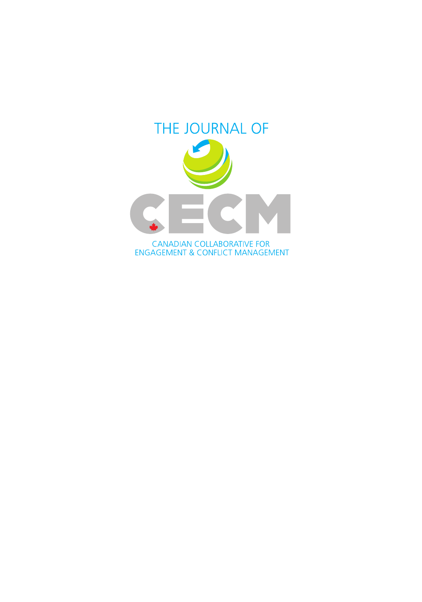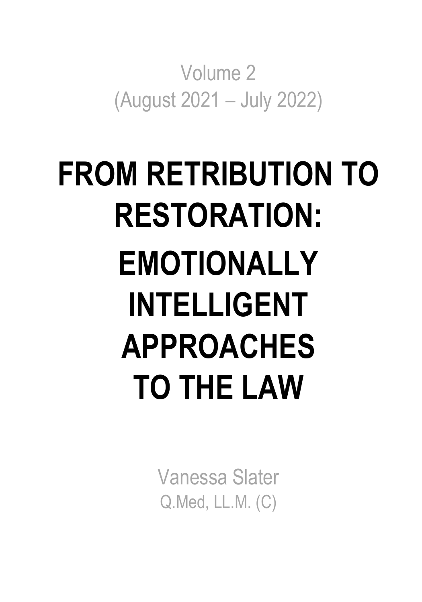Volume 2 (August 2021 – July 2022)

# **FROM RETRIBUTION TO RESTORATION: EMOTIONALLY INTELLIGENT APPROACHES TO THE LAW**

Vanessa Slater Q.Med, LL.M. (C)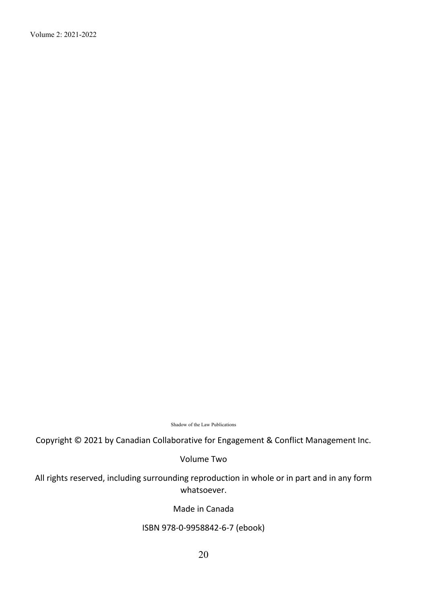Volume 2: 2021-2022

Shadow of the Law Publications

Copyright © 2021 by Canadian Collaborative for Engagement & Conflict Management Inc.

Volume Two

All rights reserved, including surrounding reproduction in whole or in part and in any form whatsoever.

Made in Canada

#### ISBN 978-0-9958842-6-7 (ebook)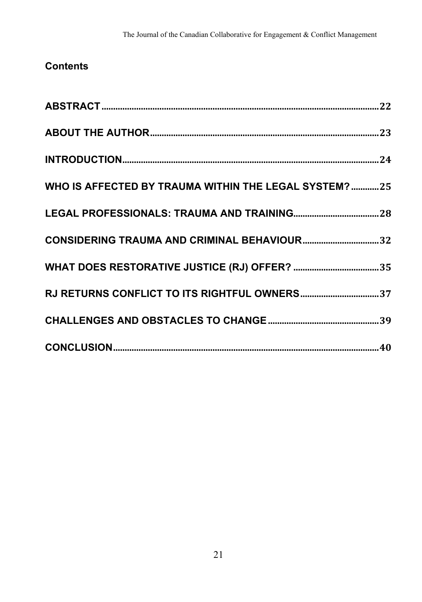# **Contents**

| WHO IS AFFECTED BY TRAUMA WITHIN THE LEGAL SYSTEM? 25 |  |
|-------------------------------------------------------|--|
|                                                       |  |
|                                                       |  |
|                                                       |  |
|                                                       |  |
|                                                       |  |
|                                                       |  |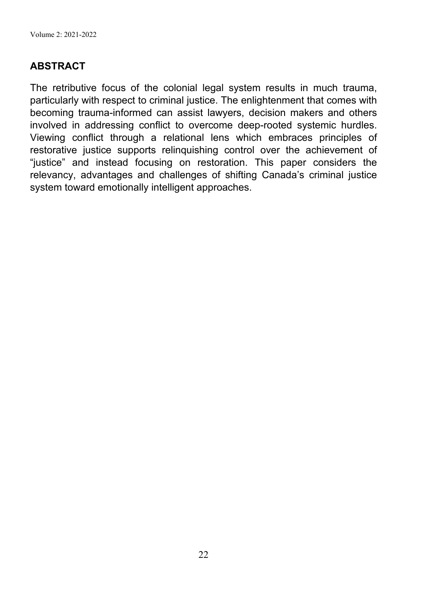Volume 2: 2021-2022

# **ABSTRACT**

The retributive focus of the colonial legal system results in much trauma, particularly with respect to criminal justice. The enlightenment that comes with becoming trauma-informed can assist lawyers, decision makers and others involved in addressing conflict to overcome deep-rooted systemic hurdles. Viewing conflict through a relational lens which embraces principles of restorative justice supports relinquishing control over the achievement of "justice" and instead focusing on restoration. This paper considers the relevancy, advantages and challenges of shifting Canada's criminal justice system toward emotionally intelligent approaches.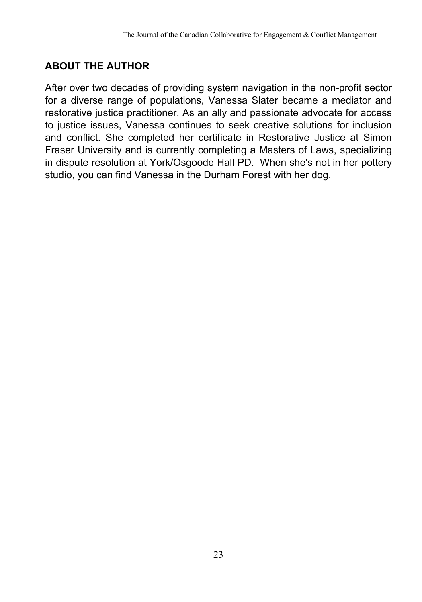# **ABOUT THE AUTHOR**

After over two decades of providing system navigation in the non-profit sector for a diverse range of populations, Vanessa Slater became a mediator and restorative justice practitioner. As an ally and passionate advocate for access to justice issues, Vanessa continues to seek creative solutions for inclusion and conflict. She completed her certificate in Restorative Justice at Simon Fraser University and is currently completing a Masters of Laws, specializing in dispute resolution at York/Osgoode Hall PD. When she's not in her pottery studio, you can find Vanessa in the Durham Forest with her dog.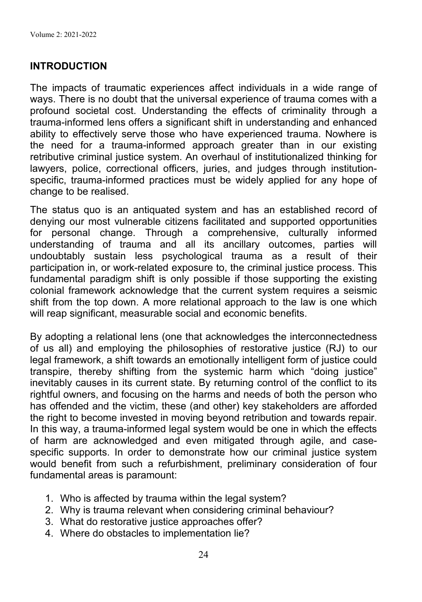# **INTRODUCTION**

The impacts of traumatic experiences affect individuals in a wide range of ways. There is no doubt that the universal experience of trauma comes with a profound societal cost. Understanding the effects of criminality through a trauma-informed lens offers a significant shift in understanding and enhanced ability to effectively serve those who have experienced trauma. Nowhere is the need for a trauma-informed approach greater than in our existing retributive criminal justice system. An overhaul of institutionalized thinking for lawyers, police, correctional officers, juries, and judges through institutionspecific, trauma-informed practices must be widely applied for any hope of change to be realised.

The status quo is an antiquated system and has an established record of denying our most vulnerable citizens facilitated and supported opportunities for personal change. Through a comprehensive, culturally informed understanding of trauma and all its ancillary outcomes, parties will undoubtably sustain less psychological trauma as a result of their participation in, or work-related exposure to, the criminal justice process. This fundamental paradigm shift is only possible if those supporting the existing colonial framework acknowledge that the current system requires a seismic shift from the top down. A more relational approach to the law is one which will reap significant, measurable social and economic benefits.

By adopting a relational lens (one that acknowledges the interconnectedness of us all) and employing the philosophies of restorative justice (RJ) to our legal framework, a shift towards an emotionally intelligent form of justice could transpire, thereby shifting from the systemic harm which "doing justice" inevitably causes in its current state. By returning control of the conflict to its rightful owners, and focusing on the harms and needs of both the person who has offended and the victim, these (and other) key stakeholders are afforded the right to become invested in moving beyond retribution and towards repair. In this way, a trauma-informed legal system would be one in which the effects of harm are acknowledged and even mitigated through agile, and casespecific supports. In order to demonstrate how our criminal justice system would benefit from such a refurbishment, preliminary consideration of four fundamental areas is paramount:

- 1. Who is affected by trauma within the legal system?
- 2. Why is trauma relevant when considering criminal behaviour?
- 3. What do restorative justice approaches offer?
- 4. Where do obstacles to implementation lie?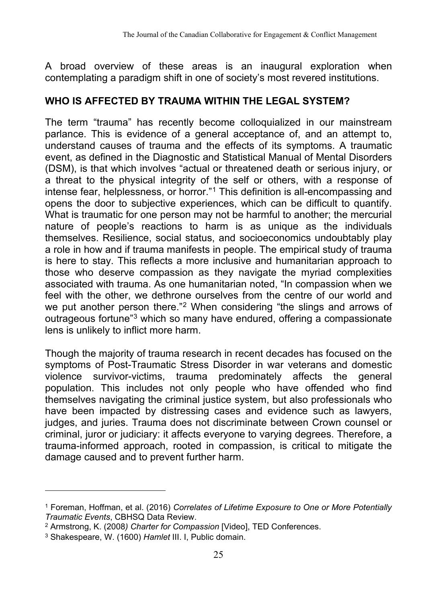A broad overview of these areas is an inaugural exploration when contemplating a paradigm shift in one of society's most revered institutions.

# **WHO IS AFFECTED BY TRAUMA WITHIN THE LEGAL SYSTEM?**

The term "trauma" has recently become colloquialized in our mainstream parlance. This is evidence of a general acceptance of, and an attempt to, understand causes of trauma and the effects of its symptoms. A traumatic event, as defined in the Diagnostic and Statistical Manual of Mental Disorders (DSM), is that which involves "actual or threatened death or serious injury, or a threat to the physical integrity of the self or others, with a response of intense fear, helplessness, or horror."1 This definition is all-encompassing and opens the door to subjective experiences, which can be difficult to quantify. What is traumatic for one person may not be harmful to another; the mercurial nature of people's reactions to harm is as unique as the individuals themselves. Resilience, social status, and socioeconomics undoubtably play a role in how and if trauma manifests in people. The empirical study of trauma is here to stay. This reflects a more inclusive and humanitarian approach to those who deserve compassion as they navigate the myriad complexities associated with trauma. As one humanitarian noted, "In compassion when we feel with the other, we dethrone ourselves from the centre of our world and we put another person there."<sup>2</sup> When considering "the slings and arrows of outrageous fortune"3 which so many have endured, offering a compassionate lens is unlikely to inflict more harm.

Though the majority of trauma research in recent decades has focused on the symptoms of Post-Traumatic Stress Disorder in war veterans and domestic violence survivor-victims, trauma predominately affects the general population. This includes not only people who have offended who find themselves navigating the criminal justice system, but also professionals who have been impacted by distressing cases and evidence such as lawyers, judges, and juries. Trauma does not discriminate between Crown counsel or criminal, juror or judiciary: it affects everyone to varying degrees. Therefore, a trauma-informed approach, rooted in compassion, is critical to mitigate the damage caused and to prevent further harm.

<sup>1</sup> Foreman, Hoffman, et al. (2016) *Correlates of Lifetime Exposure to One or More Potentially Traumatic Events*, CBHSQ Data Review.

<sup>2</sup> Armstrong, K. (2008*) Charter for Compassion* [Video], TED Conferences.

<sup>3</sup> Shakespeare, W. (1600) *Hamlet* III. I, Public domain.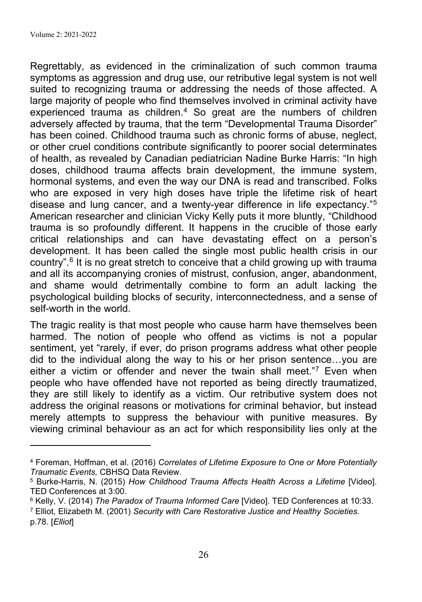Regrettably, as evidenced in the criminalization of such common trauma symptoms as aggression and drug use, our retributive legal system is not well suited to recognizing trauma or addressing the needs of those affected. A large majority of people who find themselves involved in criminal activity have experienced trauma as children.<sup>4</sup> So great are the numbers of children adversely affected by trauma, that the term "Developmental Trauma Disorder" has been coined. Childhood trauma such as chronic forms of abuse, neglect, or other cruel conditions contribute significantly to poorer social determinates of health, as revealed by Canadian pediatrician Nadine Burke Harris: "In high doses, childhood trauma affects brain development, the immune system, hormonal systems, and even the way our DNA is read and transcribed. Folks who are exposed in very high doses have triple the lifetime risk of heart disease and lung cancer, and a twenty-year difference in life expectancy."5 American researcher and clinician Vicky Kelly puts it more bluntly, "Childhood trauma is so profoundly different. It happens in the crucible of those early critical relationships and can have devastating effect on a person's development. It has been called the single most public health crisis in our country".6 It is no great stretch to conceive that a child growing up with trauma and all its accompanying cronies of mistrust, confusion, anger, abandonment, and shame would detrimentally combine to form an adult lacking the psychological building blocks of security, interconnectedness, and a sense of self-worth in the world.

The tragic reality is that most people who cause harm have themselves been harmed. The notion of people who offend as victims is not a popular sentiment, yet "rarely, if ever, do prison programs address what other people did to the individual along the way to his or her prison sentence…you are either a victim or offender and never the twain shall meet."7 Even when people who have offended have not reported as being directly traumatized, they are still likely to identify as a victim. Our retributive system does not address the original reasons or motivations for criminal behavior, but instead merely attempts to suppress the behaviour with punitive measures. By viewing criminal behaviour as an act for which responsibility lies only at the

<sup>4</sup> Foreman, Hoffman, et al. (2016) *Correlates of Lifetime Exposure to One or More Potentially Traumatic Events,* CBHSQ Data Review.

<sup>5</sup> Burke-Harris, N. (2015) *How Childhood Trauma Affects Health Across a Lifetime* [Video]. TED Conferences at 3:00.

<sup>6</sup> Kelly, V. (2014) *The Paradox of Trauma Informed Care* [Video]. TED Conferences at 10:33. <sup>7</sup> Elliot, Elizabeth M. (2001) *Security with Care Restorative Justice and Healthy Societies.* p.78. [*Elliot*]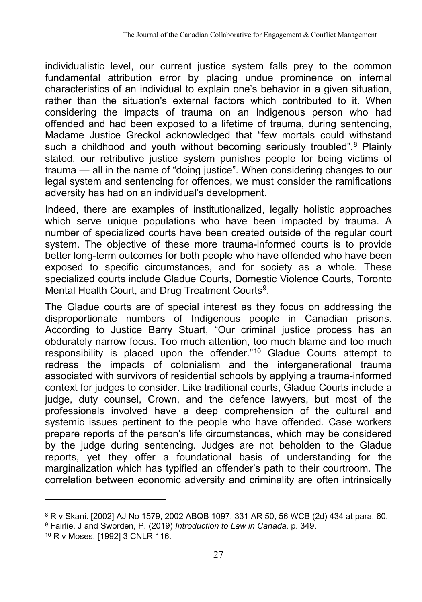individualistic level, our current justice system falls prey to the common fundamental attribution error by placing undue prominence on internal characteristics of an individual to explain one's behavior in a given situation, rather than the situation's external factors which contributed to it. When considering the impacts of trauma on an Indigenous person who had offended and had been exposed to a lifetime of trauma, during sentencing, Madame Justice Greckol acknowledged that "few mortals could withstand such a childhood and youth without becoming seriously troubled".<sup>8</sup> Plainly stated, our retributive justice system punishes people for being victims of trauma — all in the name of "doing justice". When considering changes to our legal system and sentencing for offences, we must consider the ramifications adversity has had on an individual's development.

Indeed, there are examples of institutionalized, legally holistic approaches which serve unique populations who have been impacted by trauma. A number of specialized courts have been created outside of the regular court system. The objective of these more trauma-informed courts is to provide better long-term outcomes for both people who have offended who have been exposed to specific circumstances, and for society as a whole. These specialized courts include Gladue Courts, Domestic Violence Courts, Toronto Mental Health Court, and Drug Treatment Courts<sup>9</sup>.

The Gladue courts are of special interest as they focus on addressing the disproportionate numbers of Indigenous people in Canadian prisons. According to Justice Barry Stuart, "Our criminal justice process has an obdurately narrow focus. Too much attention, too much blame and too much responsibility is placed upon the offender."10 Gladue Courts attempt to redress the impacts of colonialism and the intergenerational trauma associated with survivors of residential schools by applying a trauma-informed context for judges to consider. Like traditional courts, Gladue Courts include a judge, duty counsel, Crown, and the defence lawyers, but most of the professionals involved have a deep comprehension of the cultural and systemic issues pertinent to the people who have offended. Case workers prepare reports of the person's life circumstances, which may be considered by the judge during sentencing. Judges are not beholden to the Gladue reports, yet they offer a foundational basis of understanding for the marginalization which has typified an offender's path to their courtroom. The correlation between economic adversity and criminality are often intrinsically

<sup>8</sup> R v Skani. [2002] AJ No 1579, 2002 ABQB 1097, 331 AR 50, 56 WCB (2d) 434 at para. 60.

<sup>9</sup> Fairlie, J and Sworden, P. (2019) *Introduction to Law in Canada.* p. 349.

<sup>10</sup> R v Moses, [1992] 3 CNLR 116.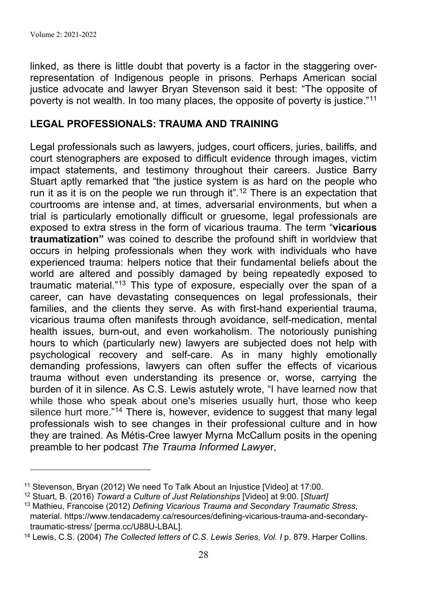linked, as there is little doubt that poverty is a factor in the staggering overrepresentation of Indigenous people in prisons. Perhaps American social justice advocate and lawyer Bryan Stevenson said it best: "The opposite of poverty is not wealth. In too many places, the opposite of poverty is justice."<sup>11</sup>

#### **LEGAL PROFESSIONALS: TRAUMA AND TRAINING**

Legal professionals such as lawyers, judges, court officers, juries, bailiffs, and court stenographers are exposed to difficult evidence through images, victim impact statements, and testimony throughout their careers. Justice Barry Stuart aptly remarked that "the justice system is as hard on the people who run it as it is on the people we run through it".<sup>12</sup> There is an expectation that courtrooms are intense and, at times, adversarial environments, but when a trial is particularly emotionally difficult or gruesome, legal professionals are exposed to extra stress in the form of vicarious trauma. The term "**vicarious traumatization"** was coined to describe the profound shift in worldview that occurs in helping professionals when they work with individuals who have experienced trauma: helpers notice that their fundamental beliefs about the world are altered and possibly damaged by being repeatedly exposed to traumatic material."13 This type of exposure, especially over the span of a career, can have devastating consequences on legal professionals, their families, and the clients they serve. As with first-hand experiential trauma, vicarious trauma often manifests through avoidance, self-medication, mental health issues, burn-out, and even workaholism. The notoriously punishing hours to which (particularly new) lawyers are subjected does not help with psychological recovery and self-care. As in many highly emotionally demanding professions, lawyers can often suffer the effects of vicarious trauma without even understanding its presence or, worse, carrying the burden of it in silence. As C.S. Lewis astutely wrote, "I have learned now that while those who speak about one's miseries usually hurt, those who keep silence hurt more."<sup>14</sup> There is, however, evidence to suggest that many legal professionals wish to see changes in their professional culture and in how they are trained. As Métis-Cree lawyer Myrna McCallum posits in the opening preamble to her podcast *The Trauma Informed Lawye*r,

<sup>11</sup> Stevenson, Bryan (2012) We need To Talk About an Injustice [Video] at 17:00.

<sup>12</sup> Stuart, B. (2016) *Toward a Culture of Just Relationships* [Video] at 9:00. [*Stuart]*

<sup>13</sup> Mathieu, Francoise (2012) *Defining Vicarious Trauma and Secondary Traumatic Stress*, material. https://www.tendacademy.ca/resources/defining-vicarious-trauma-and-secondarytraumatic-stress/ [perma.cc/U88U-LBAL].

<sup>14</sup> Lewis, C.S. (2004) *The Collected letters of C.S. Lewis Series, Vol. I* p. 879. Harper Collins.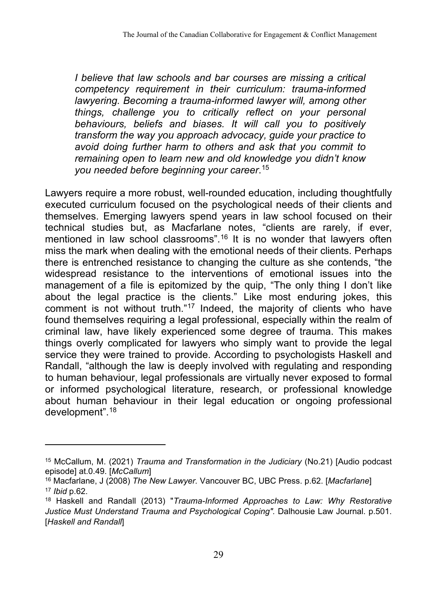*I believe that law schools and bar courses are missing a critical competency requirement in their curriculum: trauma-informed lawyering. Becoming a trauma-informed lawyer will, among other things, challenge you to critically reflect on your personal behaviours, beliefs and biases. It will call you to positively transform the way you approach advocacy, guide your practice to avoid doing further harm to others and ask that you commit to remaining open to learn new and old knowledge you didn't know you needed before beginning your career*. 15

Lawyers require a more robust, well-rounded education, including thoughtfully executed curriculum focused on the psychological needs of their clients and themselves. Emerging lawyers spend years in law school focused on their technical studies but, as Macfarlane notes, "clients are rarely, if ever, mentioned in law school classrooms".<sup>16</sup> It is no wonder that lawyers often miss the mark when dealing with the emotional needs of their clients. Perhaps there is entrenched resistance to changing the culture as she contends, "the widespread resistance to the interventions of emotional issues into the management of a file is epitomized by the quip, "The only thing I don't like about the legal practice is the clients." Like most enduring jokes, this comment is not without truth."<sup>17</sup> Indeed, the majority of clients who have found themselves requiring a legal professional, especially within the realm of criminal law, have likely experienced some degree of trauma. This makes things overly complicated for lawyers who simply want to provide the legal service they were trained to provide. According to psychologists Haskell and Randall, "although the law is deeply involved with regulating and responding to human behaviour, legal professionals are virtually never exposed to formal or informed psychological literature, research, or professional knowledge about human behaviour in their legal education or ongoing professional development".18

<sup>15</sup> McCallum, M. (2021) *Trauma and Transformation in the Judiciary* (No.21) [Audio podcast episode] at.0.49. [*McCallum*]

<sup>16</sup> Macfarlane, J (2008) *The New Lawyer.* Vancouver BC, UBC Press. p.62. [*Macfarlane*] <sup>17</sup> *Ibid* p.62.

<sup>18</sup> Haskell and Randall (2013) "*Trauma-Informed Approaches to Law: Why Restorative Justice Must Understand Trauma and Psychological Coping".* Dalhousie Law Journal. p.501. [*Haskell and Randall*]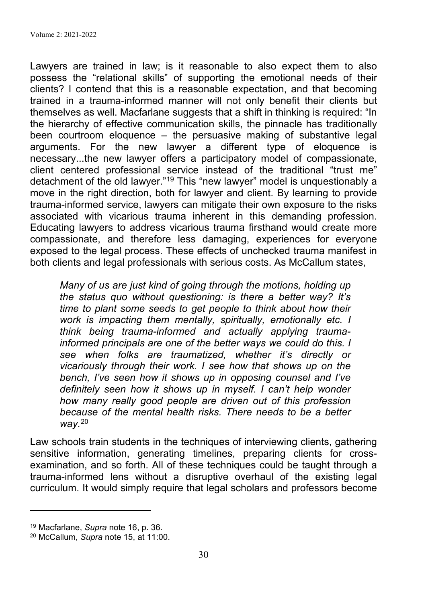Lawyers are trained in law; is it reasonable to also expect them to also possess the "relational skills" of supporting the emotional needs of their clients? I contend that this is a reasonable expectation, and that becoming trained in a trauma-informed manner will not only benefit their clients but themselves as well. Macfarlane suggests that a shift in thinking is required: "In the hierarchy of effective communication skills, the pinnacle has traditionally been courtroom eloquence – the persuasive making of substantive legal arguments. For the new lawyer a different type of eloquence is necessary...the new lawyer offers a participatory model of compassionate, client centered professional service instead of the traditional "trust me" detachment of the old lawyer."19 This "new lawyer" model is unquestionably a move in the right direction, both for lawyer and client. By learning to provide trauma-informed service, lawyers can mitigate their own exposure to the risks associated with vicarious trauma inherent in this demanding profession. Educating lawyers to address vicarious trauma firsthand would create more compassionate, and therefore less damaging, experiences for everyone exposed to the legal process. These effects of unchecked trauma manifest in both clients and legal professionals with serious costs. As McCallum states,

*Many of us are just kind of going through the motions, holding up the status quo without questioning: is there a better way? It's time to plant some seeds to get people to think about how their work is impacting them mentally, spiritually, emotionally etc. I think being trauma-informed and actually applying traumainformed principals are one of the better ways we could do this. I see when folks are traumatized, whether it's directly or vicariously through their work. I see how that shows up on the bench, I've seen how it shows up in opposing counsel and I've definitely seen how it shows up in myself. I can't help wonder how many really good people are driven out of this profession because of the mental health risks. There needs to be a better way.*<sup>20</sup>

Law schools train students in the techniques of interviewing clients, gathering sensitive information, generating timelines, preparing clients for crossexamination, and so forth. All of these techniques could be taught through a trauma-informed lens without a disruptive overhaul of the existing legal curriculum. It would simply require that legal scholars and professors become

<sup>19</sup> Macfarlane, *Supra* note 16, p. 36.

<sup>20</sup> McCallum, *Supra* note 15, at 11:00.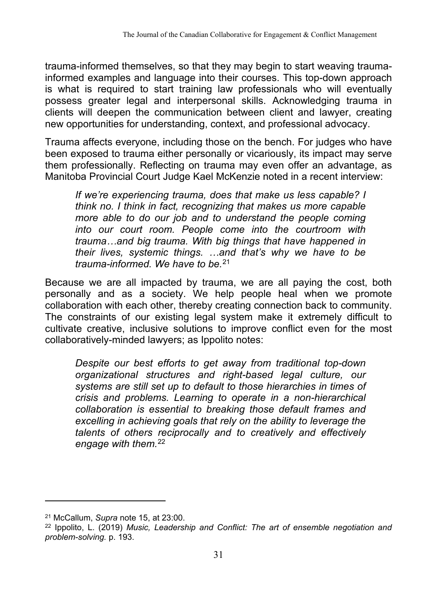trauma-informed themselves, so that they may begin to start weaving traumainformed examples and language into their courses. This top-down approach is what is required to start training law professionals who will eventually possess greater legal and interpersonal skills. Acknowledging trauma in clients will deepen the communication between client and lawyer, creating new opportunities for understanding, context, and professional advocacy.

Trauma affects everyone, including those on the bench. For judges who have been exposed to trauma either personally or vicariously, its impact may serve them professionally. Reflecting on trauma may even offer an advantage, as Manitoba Provincial Court Judge Kael McKenzie noted in a recent interview:

*If we're experiencing trauma, does that make us less capable? I think no. I think in fact, recognizing that makes us more capable more able to do our job and to understand the people coming into our court room. People come into the courtroom with trauma…and big trauma. With big things that have happened in their lives, systemic things. …and that's why we have to be trauma-informed. We have to be.*<sup>21</sup>

Because we are all impacted by trauma, we are all paying the cost, both personally and as a society. We help people heal when we promote collaboration with each other, thereby creating connection back to community. The constraints of our existing legal system make it extremely difficult to cultivate creative, inclusive solutions to improve conflict even for the most collaboratively-minded lawyers; as Ippolito notes:

*Despite our best efforts to get away from traditional top-down organizational structures and right-based legal culture, our systems are still set up to default to those hierarchies in times of crisis and problems. Learning to operate in a non-hierarchical collaboration is essential to breaking those default frames and excelling in achieving goals that rely on the ability to leverage the talents of others reciprocally and to creatively and effectively engage with them.*22

<sup>21</sup> McCallum, *Supra* note 15, at 23:00.

<sup>22</sup> Ippolito, L. (2019) *Music, Leadership and Conflict: The art of ensemble negotiation and problem-solving.* p. 193.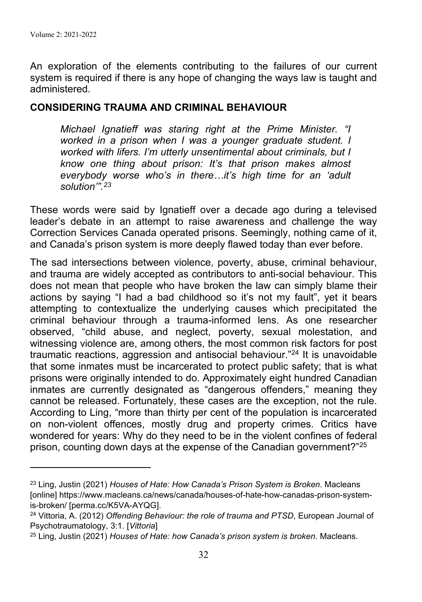An exploration of the elements contributing to the failures of our current system is required if there is any hope of changing the ways law is taught and administered.

#### **CONSIDERING TRAUMA AND CRIMINAL BEHAVIOUR**

*Michael Ignatieff was staring right at the Prime Minister. "I worked in a prison when I was a younger graduate student. I worked with lifers. I'm utterly unsentimental about criminals, but I know one thing about prison: It's that prison makes almost everybody worse who's in there…it's high time for an 'adult solution'".23*

These words were said by Ignatieff over a decade ago during a televised leader's debate in an attempt to raise awareness and challenge the way Correction Services Canada operated prisons. Seemingly, nothing came of it, and Canada's prison system is more deeply flawed today than ever before.

The sad intersections between violence, poverty, abuse, criminal behaviour, and trauma are widely accepted as contributors to anti-social behaviour. This does not mean that people who have broken the law can simply blame their actions by saying "I had a bad childhood so it's not my fault", yet it bears attempting to contextualize the underlying causes which precipitated the criminal behaviour through a trauma-informed lens. As one researcher observed, "child abuse, and neglect, poverty, sexual molestation, and witnessing violence are, among others, the most common risk factors for post traumatic reactions, aggression and antisocial behaviour."24 It is unavoidable that some inmates must be incarcerated to protect public safety; that is what prisons were originally intended to do. Approximately eight hundred Canadian inmates are currently designated as "dangerous offenders," meaning they cannot be released. Fortunately, these cases are the exception, not the rule. According to Ling, "more than thirty per cent of the population is incarcerated on non-violent offences, mostly drug and property crimes. Critics have wondered for years: Why do they need to be in the violent confines of federal prison, counting down days at the expense of the Canadian government?"25

<sup>23</sup> Ling, Justin (2021) *Houses of Hate: How Canada's Prison System is Broken*. Macleans [online] https://www.macleans.ca/news/canada/houses-of-hate-how-canadas-prison-systemis-broken/ [perma.cc/K5VA-AYQG].

<sup>24</sup> Vittoria, A. (2012) *Offending Behaviour: the role of trauma and PTSD*, European Journal of Psychotraumatology, 3:1. [*Vittoria*]

<sup>25</sup> Ling, Justin (2021) *Houses of Hate: how Canada's prison system is broken*. Macleans.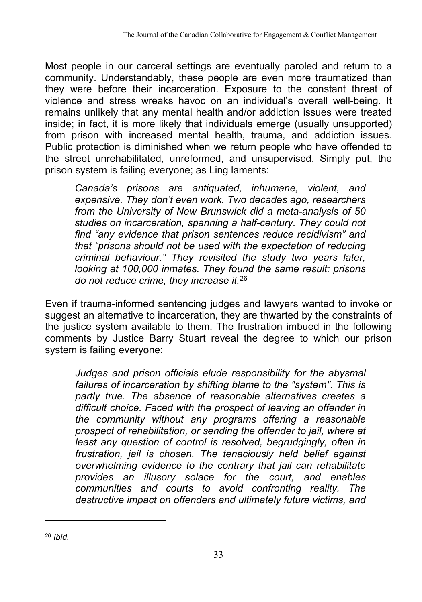Most people in our carceral settings are eventually paroled and return to a community. Understandably, these people are even more traumatized than they were before their incarceration. Exposure to the constant threat of violence and stress wreaks havoc on an individual's overall well-being. It remains unlikely that any mental health and/or addiction issues were treated inside; in fact, it is more likely that individuals emerge (usually unsupported) from prison with increased mental health, trauma, and addiction issues. Public protection is diminished when we return people who have offended to the street unrehabilitated, unreformed, and unsupervised. Simply put, the prison system is failing everyone; as Ling laments:

*Canada's prisons are antiquated, inhumane, violent, and expensive. They don't even work. Two decades ago, researchers from the University of New Brunswick did a meta-analysis of 50 studies on incarceration, spanning a half-century. They could not find "any evidence that prison sentences reduce recidivism" and that "prisons should not be used with the expectation of reducing criminal behaviour." They revisited the study two years later, looking at 100,000 inmates. They found the same result: prisons do not reduce crime, they increase it.*<sup>26</sup>

Even if trauma-informed sentencing judges and lawyers wanted to invoke or suggest an alternative to incarceration, they are thwarted by the constraints of the justice system available to them. The frustration imbued in the following comments by Justice Barry Stuart reveal the degree to which our prison system is failing everyone:

*Judges and prison officials elude responsibility for the abysmal failures of incarceration by shifting blame to the "system". This is partly true. The absence of reasonable alternatives creates a difficult choice. Faced with the prospect of leaving an offender in the community without any programs offering a reasonable prospect of rehabilitation, or sending the offender to jail, where at least any question of control is resolved, begrudgingly, often in frustration, jail is chosen. The tenaciously held belief against overwhelming evidence to the contrary that jail can rehabilitate provides an illusory solace for the court, and enables communities and courts to avoid confronting reality. The destructive impact on offenders and ultimately future victims, and* 

<sup>26</sup> *Ibid.*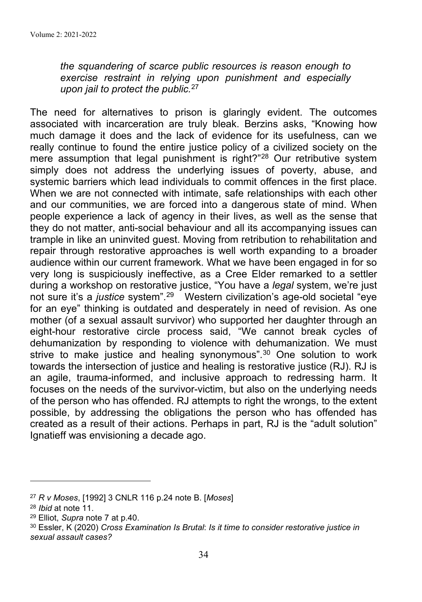*the squandering of scarce public resources is reason enough to exercise restraint in relying upon punishment and especially upon jail to protect the public.*<sup>27</sup>

The need for alternatives to prison is glaringly evident. The outcomes associated with incarceration are truly bleak. Berzins asks, "Knowing how much damage it does and the lack of evidence for its usefulness, can we really continue to found the entire justice policy of a civilized society on the mere assumption that legal punishment is right?"<sup>28</sup> Our retributive system simply does not address the underlying issues of poverty, abuse, and systemic barriers which lead individuals to commit offences in the first place. When we are not connected with intimate, safe relationships with each other and our communities, we are forced into a dangerous state of mind. When people experience a lack of agency in their lives, as well as the sense that they do not matter, anti-social behaviour and all its accompanying issues can trample in like an uninvited guest. Moving from retribution to rehabilitation and repair through restorative approaches is well worth expanding to a broader audience within our current framework. What we have been engaged in for so very long is suspiciously ineffective, as a Cree Elder remarked to a settler during a workshop on restorative justice, "You have a *legal* system, we're just not sure it's a *justice* system".29 Western civilization's age-old societal "eye for an eye" thinking is outdated and desperately in need of revision. As one mother (of a sexual assault survivor) who supported her daughter through an eight-hour restorative circle process said, "We cannot break cycles of dehumanization by responding to violence with dehumanization. We must strive to make justice and healing synonymous".<sup>30</sup> One solution to work towards the intersection of justice and healing is restorative justice (RJ). RJ is an agile, trauma-informed, and inclusive approach to redressing harm. It focuses on the needs of the survivor-victim, but also on the underlying needs of the person who has offended. RJ attempts to right the wrongs, to the extent possible, by addressing the obligations the person who has offended has created as a result of their actions. Perhaps in part, RJ is the "adult solution" Ignatieff was envisioning a decade ago.

<sup>27</sup> *R v Moses*, [1992] 3 CNLR 116 p.24 note B. [*Moses*]

<sup>28</sup> *Ibid* at note 11.

<sup>29</sup> Elliot, *Supra* note 7 at p.40.

<sup>30</sup> Essler, K (2020) *Cross Examination Is Brutal*: *Is it time to consider restorative justice in sexual assault cases?*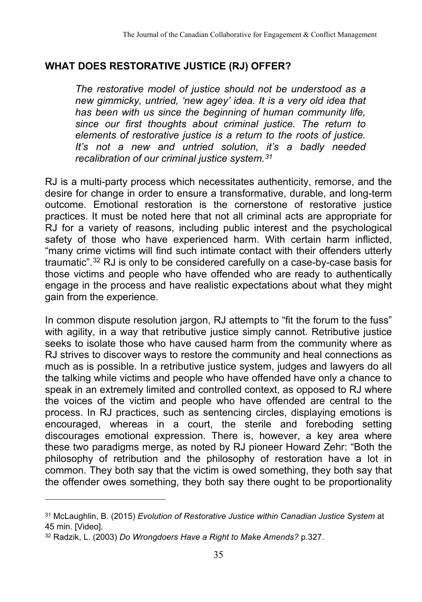# **WHAT DOES RESTORATIVE JUSTICE (RJ) OFFER?**

*The restorative model of justice should not be understood as a new gimmicky, untried, 'new agey' idea. It is a very old idea that has been with us since the beginning of human community life, since our first thoughts about criminal justice. The return to elements of restorative justice is a return to the roots of justice. It's not a new and untried solution, it's a badly needed recalibration of our criminal justice system.31*

RJ is a multi-party process which necessitates authenticity, remorse, and the desire for change in order to ensure a transformative, durable, and long-term outcome. Emotional restoration is the cornerstone of restorative justice practices. It must be noted here that not all criminal acts are appropriate for RJ for a variety of reasons, including public interest and the psychological safety of those who have experienced harm. With certain harm inflicted, "many crime victims will find such intimate contact with their offenders utterly traumatic".32 RJ is only to be considered carefully on a case-by-case basis for those victims and people who have offended who are ready to authentically engage in the process and have realistic expectations about what they might gain from the experience.

In common dispute resolution jargon, RJ attempts to "fit the forum to the fuss" with agility, in a way that retributive justice simply cannot. Retributive justice seeks to isolate those who have caused harm from the community where as RJ strives to discover ways to restore the community and heal connections as much as is possible. In a retributive justice system, judges and lawyers do all the talking while victims and people who have offended have only a chance to speak in an extremely limited and controlled context, as opposed to RJ where the voices of the victim and people who have offended are central to the process. In RJ practices, such as sentencing circles, displaying emotions is encouraged, whereas in a court, the sterile and foreboding setting discourages emotional expression. There is, however, a key area where these two paradigms merge, as noted by RJ pioneer Howard Zehr: "Both the philosophy of retribution and the philosophy of restoration have a lot in common. They both say that the victim is owed something, they both say that the offender owes something, they both say there ought to be proportionality

<sup>31</sup> McLaughlin, B. (2015) *Evolution of Restorative Justice within Canadian Justice System* at 45 min. [Video].

<sup>32</sup> Radzik, L. (2003) *Do Wrongdoers Have a Right to Make Amends?* p.327.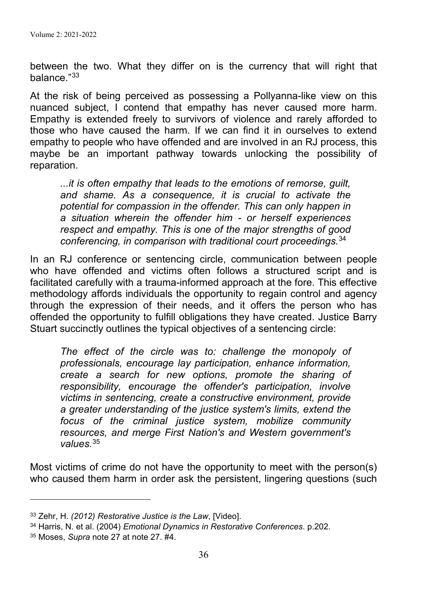between the two. What they differ on is the currency that will right that balance."33

At the risk of being perceived as possessing a Pollyanna-like view on this nuanced subject, I contend that empathy has never caused more harm. Empathy is extended freely to survivors of violence and rarely afforded to those who have caused the harm. If we can find it in ourselves to extend empathy to people who have offended and are involved in an RJ process, this maybe be an important pathway towards unlocking the possibility of reparation.

*...it is often empathy that leads to the emotions of remorse, guilt, and shame. As a consequence, it is crucial to activate the potential for compassion in the offender. This can only happen in a situation wherein the offender him - or herself experiences respect and empathy. This is one of the major strengths of good conferencing, in comparison with traditional court proceedings.*<sup>34</sup>

In an RJ conference or sentencing circle, communication between people who have offended and victims often follows a structured script and is facilitated carefully with a trauma-informed approach at the fore. This effective methodology affords individuals the opportunity to regain control and agency through the expression of their needs, and it offers the person who has offended the opportunity to fulfill obligations they have created. Justice Barry Stuart succinctly outlines the typical objectives of a sentencing circle:

*The effect of the circle was to: challenge the monopoly of professionals, encourage lay participation, enhance information, create a search for new options, promote the sharing of responsibility, encourage the offender's participation, involve victims in sentencing, create a constructive environment, provide a greater understanding of the justice system's limits, extend the focus of the criminal justice system, mobilize community resources, and merge First Nation's and Western government's values.*<sup>35</sup>

Most victims of crime do not have the opportunity to meet with the person(s) who caused them harm in order ask the persistent, lingering questions (such

<sup>33</sup> Zehr, H. *(2012) Restorative Justice is the Law*, [Video].

<sup>34</sup> Harris, N. et al. (2004) *Emotional Dynamics in Restorative Conferences*. p.202.

<sup>35</sup> Moses, *Supra* note 27 at note 27. #4.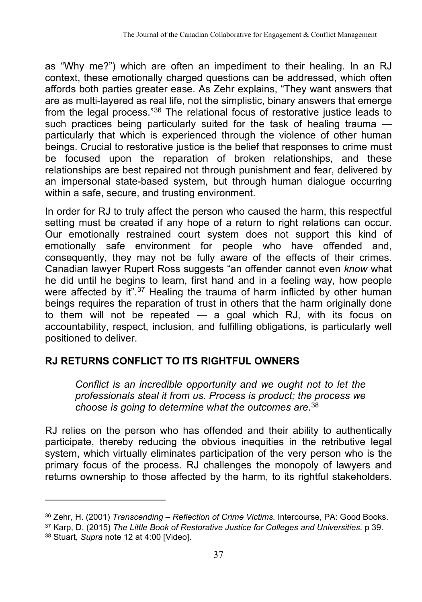as "Why me?") which are often an impediment to their healing. In an RJ context, these emotionally charged questions can be addressed, which often affords both parties greater ease. As Zehr explains, "They want answers that are as multi-layered as real life, not the simplistic, binary answers that emerge from the legal process."36 The relational focus of restorative justice leads to such practices being particularly suited for the task of healing trauma particularly that which is experienced through the violence of other human beings. Crucial to restorative justice is the belief that responses to crime must be focused upon the reparation of broken relationships, and these relationships are best repaired not through punishment and fear, delivered by an impersonal state-based system, but through human dialogue occurring within a safe, secure, and trusting environment.

In order for RJ to truly affect the person who caused the harm, this respectful setting must be created if any hope of a return to right relations can occur. Our emotionally restrained court system does not support this kind of emotionally safe environment for people who have offended and, consequently, they may not be fully aware of the effects of their crimes. Canadian lawyer Rupert Ross suggests "an offender cannot even *know* what he did until he begins to learn, first hand and in a feeling way, how people were affected by it".<sup>37</sup> Healing the trauma of harm inflicted by other human beings requires the reparation of trust in others that the harm originally done to them will not be repeated  $-$  a goal which RJ, with its focus on accountability, respect, inclusion, and fulfilling obligations, is particularly well positioned to deliver.

# **RJ RETURNS CONFLICT TO ITS RIGHTFUL OWNERS**

*Conflict is an incredible opportunity and we ought not to let the professionals steal it from us. Process is product; the process we choose is going to determine what the outcomes are*. 38

RJ relies on the person who has offended and their ability to authentically participate, thereby reducing the obvious inequities in the retributive legal system, which virtually eliminates participation of the very person who is the primary focus of the process. RJ challenges the monopoly of lawyers and returns ownership to those affected by the harm, to its rightful stakeholders.

<sup>36</sup> Zehr, H. (2001) *Transcending – Reflection of Crime Victims.* Intercourse, PA: Good Books.

<sup>37</sup> Karp, D. (2015) *The Little Book of Restorative Justice for Colleges and Universities.* p 39. <sup>38</sup> Stuart, *Supra* note 12 at 4:00 [Video].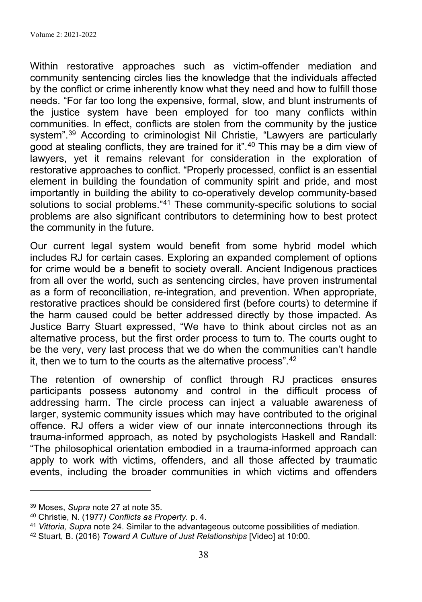Within restorative approaches such as victim-offender mediation and community sentencing circles lies the knowledge that the individuals affected by the conflict or crime inherently know what they need and how to fulfill those needs. "For far too long the expensive, formal, slow, and blunt instruments of the justice system have been employed for too many conflicts within communities. In effect, conflicts are stolen from the community by the justice system".<sup>39</sup> According to criminologist Nil Christie, "Lawyers are particularly good at stealing conflicts, they are trained for it".<sup>40</sup> This may be a dim view of lawyers, yet it remains relevant for consideration in the exploration of restorative approaches to conflict. "Properly processed, conflict is an essential element in building the foundation of community spirit and pride, and most importantly in building the ability to co-operatively develop community-based solutions to social problems."41 These community-specific solutions to social problems are also significant contributors to determining how to best protect the community in the future.

Our current legal system would benefit from some hybrid model which includes RJ for certain cases. Exploring an expanded complement of options for crime would be a benefit to society overall. Ancient Indigenous practices from all over the world, such as sentencing circles, have proven instrumental as a form of reconciliation, re-integration, and prevention. When appropriate, restorative practices should be considered first (before courts) to determine if the harm caused could be better addressed directly by those impacted. As Justice Barry Stuart expressed, "We have to think about circles not as an alternative process, but the first order process to turn to. The courts ought to be the very, very last process that we do when the communities can't handle it, then we to turn to the courts as the alternative process".42

The retention of ownership of conflict through RJ practices ensures participants possess autonomy and control in the difficult process of addressing harm. The circle process can inject a valuable awareness of larger, systemic community issues which may have contributed to the original offence. RJ offers a wider view of our innate interconnections through its trauma-informed approach, as noted by psychologists Haskell and Randall: "The philosophical orientation embodied in a trauma-informed approach can apply to work with victims, offenders, and all those affected by traumatic events, including the broader communities in which victims and offenders

<sup>39</sup> Moses, *Supra* note 27 at note 35.

<sup>40</sup> Christie, N. (1977*) Conflicts as Property.* p. 4.

<sup>41</sup> *Vittoria, Supra* note 24. Similar to the advantageous outcome possibilities of mediation.

<sup>42</sup> Stuart, B. (2016) *Toward A Culture of Just Relationships* [Video] at 10:00.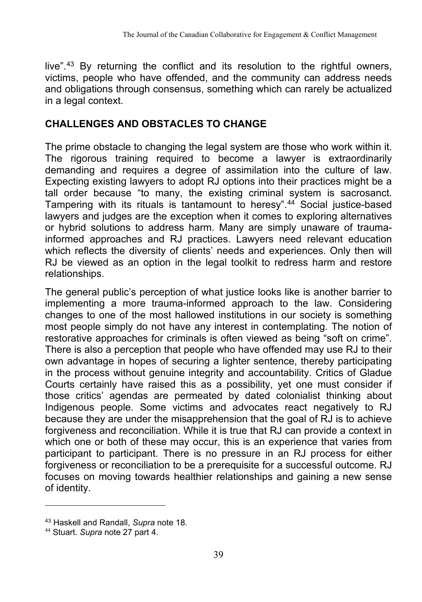live".43 By returning the conflict and its resolution to the rightful owners, victims, people who have offended, and the community can address needs and obligations through consensus, something which can rarely be actualized in a legal context.

# **CHALLENGES AND OBSTACLES TO CHANGE**

The prime obstacle to changing the legal system are those who work within it. The rigorous training required to become a lawyer is extraordinarily demanding and requires a degree of assimilation into the culture of law. Expecting existing lawyers to adopt RJ options into their practices might be a tall order because "to many, the existing criminal system is sacrosanct. Tampering with its rituals is tantamount to heresy".44 Social justice-based lawyers and judges are the exception when it comes to exploring alternatives or hybrid solutions to address harm. Many are simply unaware of traumainformed approaches and RJ practices. Lawyers need relevant education which reflects the diversity of clients' needs and experiences. Only then will RJ be viewed as an option in the legal toolkit to redress harm and restore relationships.

The general public's perception of what justice looks like is another barrier to implementing a more trauma-informed approach to the law. Considering changes to one of the most hallowed institutions in our society is something most people simply do not have any interest in contemplating. The notion of restorative approaches for criminals is often viewed as being "soft on crime". There is also a perception that people who have offended may use RJ to their own advantage in hopes of securing a lighter sentence, thereby participating in the process without genuine integrity and accountability. Critics of Gladue Courts certainly have raised this as a possibility, yet one must consider if those critics' agendas are permeated by dated colonialist thinking about Indigenous people. Some victims and advocates react negatively to RJ because they are under the misapprehension that the goal of RJ is to achieve forgiveness and reconciliation. While it is true that RJ can provide a context in which one or both of these may occur, this is an experience that varies from participant to participant. There is no pressure in an RJ process for either forgiveness or reconciliation to be a prerequisite for a successful outcome. RJ focuses on moving towards healthier relationships and gaining a new sense of identity.

<sup>43</sup> Haskell and Randall, *Supra* note 18.

<sup>44</sup> Stuart. *Supra* note 27 part 4.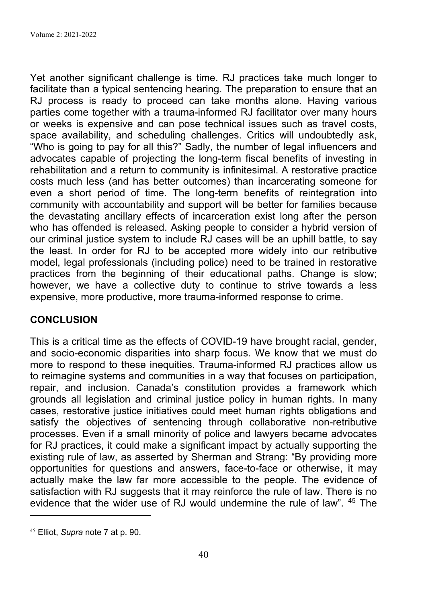Yet another significant challenge is time. RJ practices take much longer to facilitate than a typical sentencing hearing. The preparation to ensure that an RJ process is ready to proceed can take months alone. Having various parties come together with a trauma-informed RJ facilitator over many hours or weeks is expensive and can pose technical issues such as travel costs, space availability, and scheduling challenges. Critics will undoubtedly ask, "Who is going to pay for all this?" Sadly, the number of legal influencers and advocates capable of projecting the long-term fiscal benefits of investing in rehabilitation and a return to community is infinitesimal. A restorative practice costs much less (and has better outcomes) than incarcerating someone for even a short period of time. The long-term benefits of reintegration into community with accountability and support will be better for families because the devastating ancillary effects of incarceration exist long after the person who has offended is released. Asking people to consider a hybrid version of our criminal justice system to include RJ cases will be an uphill battle, to say the least. In order for RJ to be accepted more widely into our retributive model, legal professionals (including police) need to be trained in restorative practices from the beginning of their educational paths. Change is slow; however, we have a collective duty to continue to strive towards a less expensive, more productive, more trauma-informed response to crime.

# **CONCLUSION**

This is a critical time as the effects of COVID-19 have brought racial, gender, and socio-economic disparities into sharp focus. We know that we must do more to respond to these inequities. Trauma-informed RJ practices allow us to reimagine systems and communities in a way that focuses on participation, repair, and inclusion. Canada's constitution provides a framework which grounds all legislation and criminal justice policy in human rights. In many cases, restorative justice initiatives could meet human rights obligations and satisfy the objectives of sentencing through collaborative non-retributive processes. Even if a small minority of police and lawyers became advocates for RJ practices, it could make a significant impact by actually supporting the existing rule of law, as asserted by Sherman and Strang: "By providing more opportunities for questions and answers, face-to-face or otherwise, it may actually make the law far more accessible to the people. The evidence of satisfaction with RJ suggests that it may reinforce the rule of law. There is no evidence that the wider use of RJ would undermine the rule of law". 45 The

<sup>45</sup> Elliot, *Supra* note 7 at p. 90.